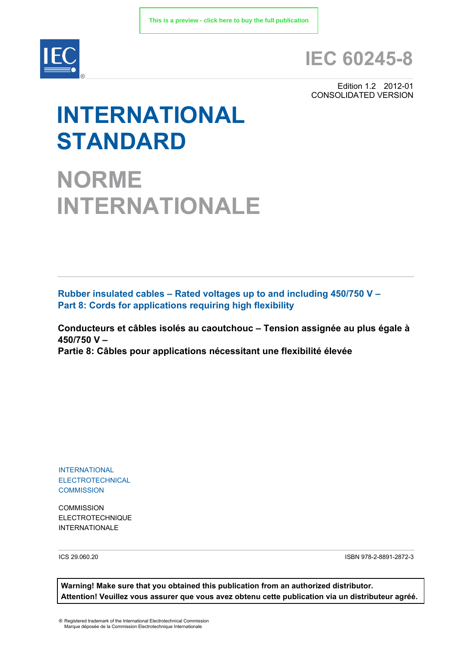

# **IEC 60245-8**

Edition 1.2 2012-01 CONSOLIDATED VERSION

# **INTERNATIONAL STANDARD**

**NORME INTERNATIONALE**

**Rubber insulated cables – Rated voltages up to and including 450/750 V – Part 8: Cords for applications requiring high flexibility** 

**Conducteurs et câbles isolés au caoutchouc – Tension assignée au plus égale à 450/750 V – Partie 8: Câbles pour applications nécessitant une flexibilité élevée** 

INTERNATIONAL ELECTROTECHNICAL **COMMISSION** 

**COMMISSION** ELECTROTECHNIQUE INTERNATIONALE

ICS 29.060.20 ISBN 978-2-8891-2872-3

**Warning! Make sure that you obtained this publication from an authorized distributor. Attention! Veuillez vous assurer que vous avez obtenu cette publication via un distributeur agréé.**

® Registered trademark of the International Electrotechnical Commission Marque déposée de la Commission Electrotechnique Internationale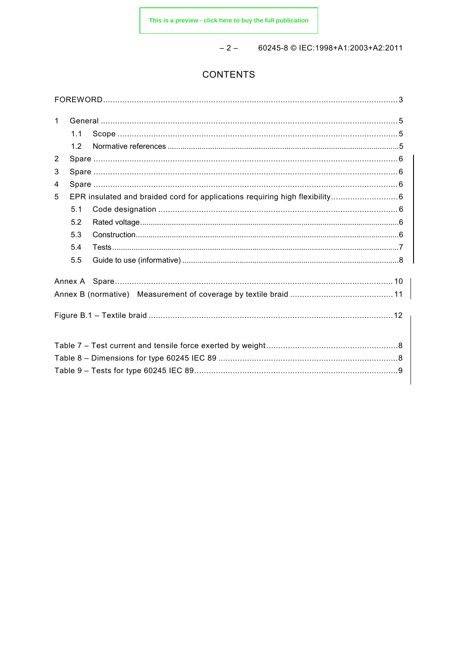$-2 - 60245 - 8 \odot 1EC:1998 + A1:2003 + A2:2011$ 

# **CONTENTS**

| $\mathbf{1}$   |     |  |  |  |  |  |
|----------------|-----|--|--|--|--|--|
|                | 1.1 |  |  |  |  |  |
|                | 1.2 |  |  |  |  |  |
| $\overline{2}$ |     |  |  |  |  |  |
| 3              |     |  |  |  |  |  |
| 4              |     |  |  |  |  |  |
| 5              |     |  |  |  |  |  |
|                | 5.1 |  |  |  |  |  |
|                | 5.2 |  |  |  |  |  |
|                | 5.3 |  |  |  |  |  |
|                | 5.4 |  |  |  |  |  |
|                | 5.5 |  |  |  |  |  |
|                |     |  |  |  |  |  |
|                |     |  |  |  |  |  |
|                |     |  |  |  |  |  |
|                |     |  |  |  |  |  |
|                |     |  |  |  |  |  |
|                |     |  |  |  |  |  |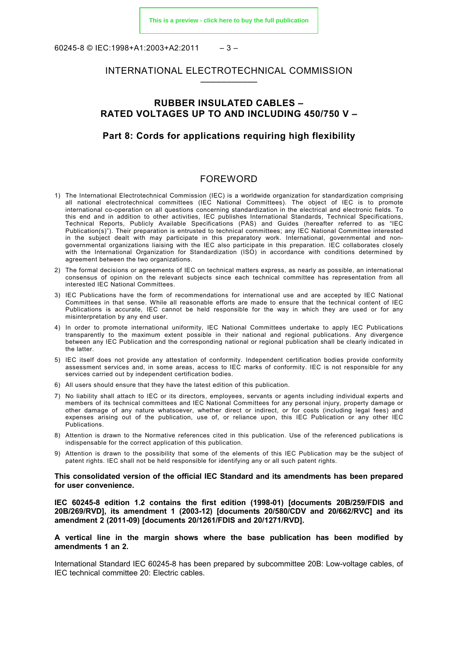60245-8 © IEC:1998+A1:2003+A2:2011 – 3 –

# INTERNATIONAL ELECTROTECHNICAL COMMISSION –––––––––––

### **RUBBER INSULATED CABLES – RATED VOLTAGES UP TO AND INCLUDING 450/750 V –**

# **Part 8: Cords for applications requiring high flexibility**

#### FOREWORD

- <span id="page-2-0"></span>1) The International Electrotechnical Commission (IEC) is a worldwide organization for standardization comprising all national electrotechnical committees (IEC National Committees). The object of IEC is to promote international co-operation on all questions concerning standardization in the electrical and electronic fields. To this end and in addition to other activities, IEC publishes International Standards, Technical Specifications, Technical Reports, Publicly Available Specifications (PAS) and Guides (hereafter referred to as "IEC Publication(s)"). Their preparation is entrusted to technical committees; any IEC National Committee interested in the subject dealt with may participate in this preparatory work. International, governmental and nongovernmental organizations liaising with the IEC also participate in this preparation. IEC collaborates closely with the International Organization for Standardization (ISO) in accordance with conditions determined by agreement between the two organizations.
- 2) The formal decisions or agreements of IEC on technical matters express, as nearly as possible, an international consensus of opinion on the relevant subjects since each technical committee has representation from all interested IEC National Committees.
- 3) IEC Publications have the form of recommendations for international use and are accepted by IEC National Committees in that sense. While all reasonable efforts are made to ensure that the technical content of IEC Publications is accurate, IEC cannot be held responsible for the way in which they are used or for any misinterpretation by any end user.
- 4) In order to promote international uniformity, IEC National Committees undertake to apply IEC Publications transparently to the maximum extent possible in their national and regional publications. Any divergence between any IEC Publication and the corresponding national or regional publication shall be clearly indicated in the latter.
- 5) IEC itself does not provide any attestation of conformity. Independent certification bodies provide conformity assessment services and, in some areas, access to IEC marks of conformity. IEC is not responsible for any services carried out by independent certification bodies.
- 6) All users should ensure that they have the latest edition of this publication.
- 7) No liability shall attach to IEC or its directors, employees, servants or agents including individual experts and members of its technical committees and IEC National Committees for any personal injury, property damage or other damage of any nature whatsoever, whether direct or indirect, or for costs (including legal fees) and expenses arising out of the publication, use of, or reliance upon, this IEC Publication or any other IEC Publications.
- 8) Attention is drawn to the Normative references cited in this publication. Use of the referenced publications is indispensable for the correct application of this publication.
- 9) Attention is drawn to the possibility that some of the elements of this IEC Publication may be the subject of patent rights. IEC shall not be held responsible for identifying any or all such patent rights.

#### **This consolidated version of the official IEC Standard and its amendments has been prepared for user convenience.**

**IEC 60245-8 edition 1.2 contains the first edition (1998-01) [documents 20B/259/FDIS and 20B/269/RVD], its amendment 1 (2003-12) [documents 20/580/CDV and 20/662/RVC] and its amendment 2 (2011-09) [documents 20/1261/FDIS and 20/1271/RVD].**

#### **A vertical line in the margin shows where the base publication has been modified by amendments 1 an 2.**

International Standard IEC 60245-8 has been prepared by subcommittee 20B: Low-voltage cables, of IEC technical committee 20: Electric cables.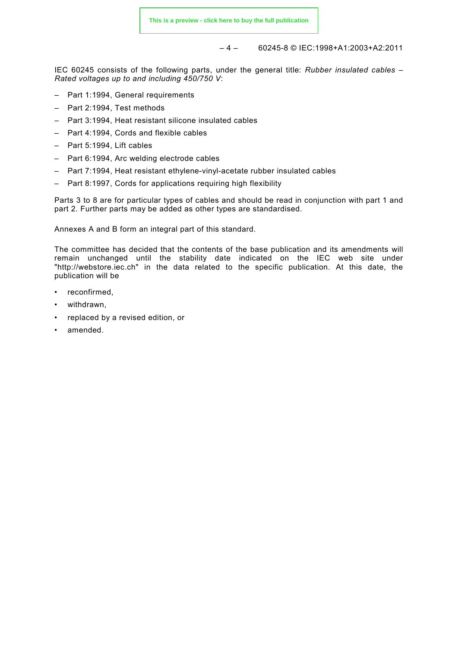– 4 – 60245-8 © IEC:1998+A1:2003+A2:2011

IEC 60245 consists of the following parts, under the general title: *Rubber insulated cables – Rated voltages up to and including 450/750 V*:

- Part 1:1994, General requirements
- Part 2:1994, Test methods
- Part 3:1994, Heat resistant silicone insulated cables
- Part 4:1994, Cords and flexible cables
- Part 5:1994, Lift cables
- Part 6:1994, Arc welding electrode cables
- Part 7:1994, Heat resistant ethylene-vinyl-acetate rubber insulated cables
- Part 8:1997, Cords for applications requiring high flexibility

Parts 3 to 8 are for particular types of cables and should be read in conjunction with part 1 and part 2. Further parts may be added as other types are standardised.

Annexes A and B form an integral part of this standard.

The committee has decided that the contents of the base publication and its amendments will remain unchanged until the stability date indicated on the IEC web site under "http://webstore.iec.ch" in the data related to the specific publication. At this date, the publication will be

- reconfirmed,
- withdrawn,
- replaced by a revised edition, or
- amended.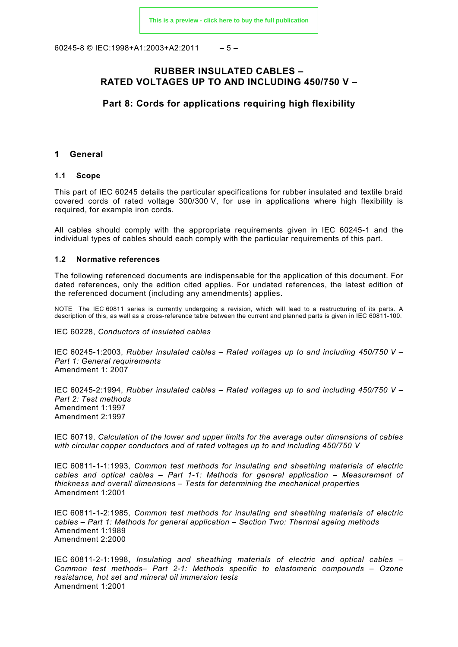60245-8 © IEC:1998+A1:2003+A2:2011  $-5-$ 

# **RUBBER INSULATED CABLES – RATED VOLTAGES UP TO AND INCLUDING 450/750 V –**

# **Part 8: Cords for applications requiring high flexibility**

#### **1 General**

#### **1.1 Scope**

This part of IEC 60245 details the particular specifications for rubber insulated and textile braid covered cords of rated voltage 300/300 V, for use in applications where high flexibility is required, for example iron cords.

All cables should comply with the appropriate requirements given in IEC 60245-1 and the individual types of cables should each comply with the particular requirements of this part.

#### **1.2 Normative references**

The following referenced documents are indispensable for the application of this document. For dated references, only the edition cited applies. For undated references, the latest edition of the referenced document (including any amendments) applies.

NOTE The IEC 60811 series is currently undergoing a revision, which will lead to a restructuring of its parts. A description of this, as well as a cross-reference table between the current and planned parts is given in IEC 60811-100.

IEC 60228, *Conductors of insulated cables*

IEC 60245-1:2003, *Rubber insulated cables – Rated voltages up to and including 450/750 V – Part 1: General requirements* Amendment 1: 2007

IEC 60245-2:1994, *Rubber insulated cables – Rated voltages up to and including 450/750 V – Part 2: Test methods* Amendment 1:1997 Amendment 2:1997

IEC 60719, *Calculation of the lower and upper limits for the average outer dimensions of cables with circular copper conductors and of rated voltages up to and including 450/750 V* 

IEC 60811-1-1:1993, *Common test methods for insulating and sheathing materials of electric cables and optical cables – Part 1-1: Methods for general application – Measurement of thickness and overall dimensions – Tests for determining the mechanical properties* Amendment 1:2001

IEC 60811-1-2:1985, *Common test methods for insulating and sheathing materials of electric cables – Part 1: Methods for general application – Section Two: Thermal ageing methods* Amendment 1:1989 Amendment 2:2000

IEC 60811-2-1:1998, *Insulating and sheathing materials of electric and optical cables – Common test methods– Part 2-1: Methods specific to elastomeric compounds – Ozone resistance, hot set and mineral oil immersion tests* Amendment 1:2001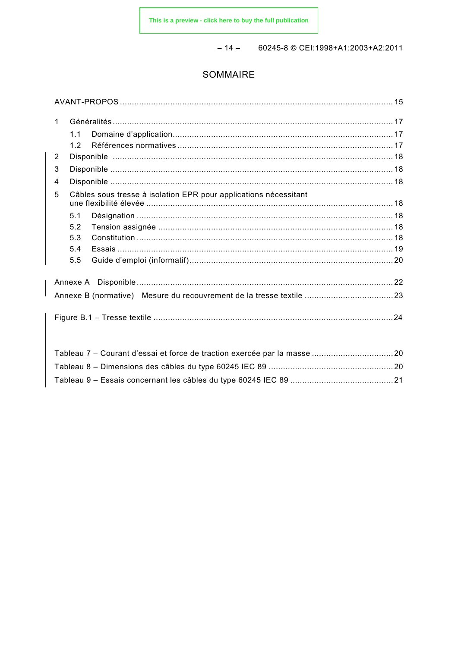$-14 - 60245 - 8 \odot \text{CE}$  : 1998+A1:2003+A2:2011

# SOMMAIRE

| $\mathbf 1$    |     |                                                                  |  |  |
|----------------|-----|------------------------------------------------------------------|--|--|
|                | 1.1 |                                                                  |  |  |
|                | 12  |                                                                  |  |  |
| $\overline{2}$ |     |                                                                  |  |  |
| 3              |     |                                                                  |  |  |
| 4              |     |                                                                  |  |  |
| 5              |     | Câbles sous tresse à isolation EPR pour applications nécessitant |  |  |
|                | 5.1 |                                                                  |  |  |
|                | 5.2 |                                                                  |  |  |
|                | 5.3 |                                                                  |  |  |
|                | 5.4 |                                                                  |  |  |
|                | 5.5 |                                                                  |  |  |
|                |     |                                                                  |  |  |
|                |     |                                                                  |  |  |
|                |     |                                                                  |  |  |
|                |     |                                                                  |  |  |
|                |     |                                                                  |  |  |
|                |     |                                                                  |  |  |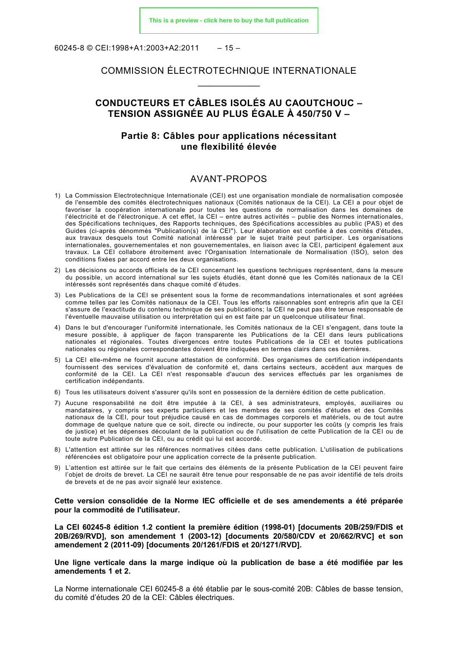60245-8 © CEI:1998+A1:2003+A2:2011  $-15-$ 

# COMMISSION ÉLECTROTECHNIQUE INTERNATIONALE  $\overline{\phantom{a}}$

# **CONDUCTEURS ET CÂBLES ISOLÉS AU CAOUTCHOUC – TENSION ASSIGNÉE AU PLUS ÉGALE À 450/750 V –**

# **Partie 8: Câbles pour applications nécessitant une flexibilité élevée**

#### AVANT-PROPOS

- <span id="page-6-0"></span>1) La Commission Electrotechnique Internationale (CEI) est une organisation mondiale de normalisation composée de l'ensemble des comités électrotechniques nationaux (Comités nationaux de la CEI). La CEI a pour objet de favoriser la coopération internationale pour toutes les questions de normalisation dans les domaines de l'électricité et de l'électronique. A cet effet, la CEI – entre autres activités – publie des Normes internationales, des Spécifications techniques, des Rapports techniques, des Spécifications accessibles au public (PAS) et des Guides (ci-après dénommés "Publication(s) de la CEI"). Leur élaboration est confiée à des comités d'études, aux travaux desquels tout Comité national intéressé par le sujet traité peut participer. Les organisations internationales, gouvernementales et non gouvernementales, en liaison avec la CEI, participent également aux travaux. La CEI collabore étroitement avec l'Organisation Internationale de Normalisation (ISO), selon des conditions fixées par accord entre les deux organisations.
- 2) Les décisions ou accords officiels de la CEI concernant les questions techniques représentent, dans la mesure du possible, un accord international sur les sujets étudiés, étant donné que les Comités nationaux de la CEI intéressés sont représentés dans chaque comité d'études.
- 3) Les Publications de la CEI se présentent sous la forme de recommandations internationales et sont agréées comme telles par les Comités nationaux de la CEI. Tous les efforts raisonnables sont entrepris afin que la CEI s'assure de l'exactitude du contenu technique de ses publications; la CEI ne peut pas être tenue responsable de l'éventuelle mauvaise utilisation ou interprétation qui en est faite par un quelconque utilisateur final.
- 4) Dans le but d'encourager l'uniformité internationale, les Comités nationaux de la CEI s'engagent, dans toute la mesure possible, à appliquer de façon transparente les Publications de la CEI dans leurs publications nationales et régionales. Toutes divergences entre toutes Publications de la CEI et toutes publications nationales ou régionales correspondantes doivent être indiquées en termes clairs dans ces dernières.
- 5) La CEI elle-même ne fournit aucune attestation de conformité. Des organismes de certification indépendants fournissent des services d'évaluation de conformité et, dans certains secteurs, accèdent aux marques de conformité de la CEI. La CEI n'est responsable d'aucun des services effectués par les organismes de certification indépendants.
- 6) Tous les utilisateurs doivent s'assurer qu'ils sont en possession de la dernière édition de cette publication.
- 7) Aucune responsabilité ne doit être imputée à la CEI, à ses administrateurs, employés, auxiliaires ou mandataires, y compris ses experts particuliers et les membres de ses comités d'études et des Comités nationaux de la CEI, pour tout préjudice causé en cas de dommages corporels et matériels, ou de tout autre dommage de quelque nature que ce soit, directe ou indirecte, ou pour supporter les coûts (y compris les frais de justice) et les dépenses découlant de la publication ou de l'utilisation de cette Publication de la CEI ou de toute autre Publication de la CEI, ou au crédit qui lui est accordé.
- 8) L'attention est attirée sur les références normatives citées dans cette publication. L'utilisation de publications référencées est obligatoire pour une application correcte de la présente publication.
- 9) L'attention est attirée sur le fait que certains des éléments de la présente Publication de la CEI peuvent faire l'objet de droits de brevet. La CEI ne saurait être tenue pour responsable de ne pas avoir identifié de tels droits de brevets et de ne pas avoir signalé leur existence.

#### **Cette version consolidée de la Norme IEC officielle et de ses amendements a été préparée pour la commodité de l'utilisateur.**

**La CEI 60245-8 édition 1.2 contient la première édition (1998-01) [documents 20B/259/FDIS et 20B/269/RVD], son amendement 1 (2003-12) [documents 20/580/CDV et 20/662/RVC] et son amendement 2 (2011-09) [documents 20/1261/FDIS et 20/1271/RVD].**

**Une ligne verticale dans la marge indique où la publication de base a été modifiée par les amendements 1 et 2.**

La Norme internationale CEI 60245-8 a été établie par le sous-comité 20B: Câbles de basse tension, du comité d'études 20 de la CEI: Câbles électriques.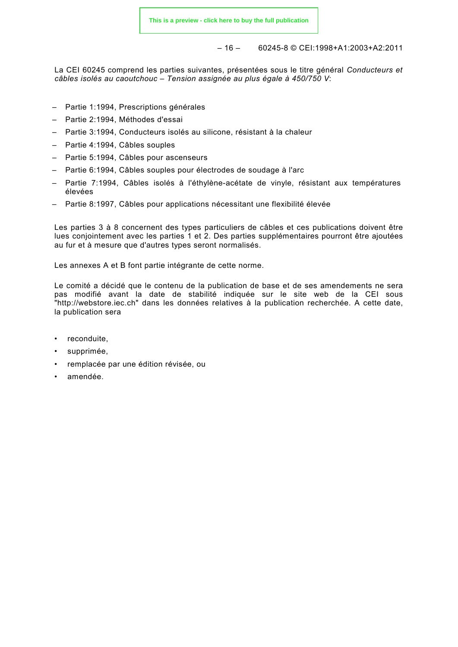$-16 - 60245 - 8 \odot \text{CE}$ : 1998+A1: 2003 + A2: 2011

La CEI 60245 comprend les parties suivantes, présentées sous le titre général *Conducteurs et câbles isolés au caoutchouc – Tension assignée au plus égale à 450/750 V*:

- Partie 1:1994, Prescriptions générales
- Partie 2:1994, Méthodes d'essai
- Partie 3:1994, Conducteurs isolés au silicone, résistant à la chaleur
- Partie 4:1994, Câbles souples
- Partie 5:1994, Câbles pour ascenseurs
- Partie 6:1994, Câbles souples pour électrodes de soudage à l'arc
- Partie 7:1994, Câbles isolés à l'éthylène-acétate de vinyle, résistant aux températures élevées
- Partie 8:1997, Câbles pour applications nécessitant une flexibilité élevée

Les parties 3 à 8 concernent des types particuliers de câbles et ces publications doivent être lues conjointement avec les parties 1 et 2. Des parties supplémentaires pourront être ajoutées au fur et à mesure que d'autres types seront normalisés.

Les annexes A et B font partie intégrante de cette norme.

Le comité a décidé que le contenu de la publication de base et de ses amendements ne sera pas modifié avant la date de stabilité indiquée sur le site web de la CEI sous "http://webstore.iec.ch" dans les données relatives à la publication recherchée. A cette date, la publication sera

- reconduite,
- supprimée,
- remplacée par une édition révisée, ou
- amendée.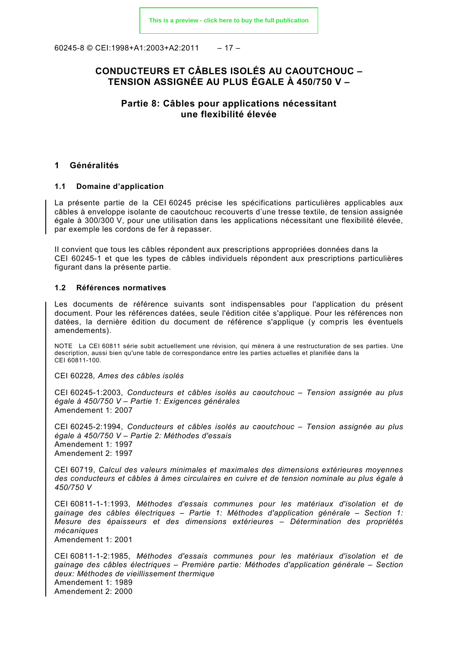$60245-8$  © CEI:1998+A1:2003+A2:2011 – 17 –

# **CONDUCTEURS ET CÂBLES ISOLÉS AU CAOUTCHOUC – TENSION ASSIGNÉE AU PLUS ÉGALE À 450/750 V –**

# **Partie 8: Câbles pour applications nécessitant une flexibilité élevée**

#### **1 Généralités**

#### **1.1 Domaine d'application**

La présente partie de la CEI 60245 précise les spécifications particulières applicables aux câbles à enveloppe isolante de caoutchouc recouverts d'une tresse textile, de tension assignée égale à 300/300 V, pour une utilisation dans les applications nécessitant une flexibilité élevée, par exemple les cordons de fer à repasser.

II convient que tous les câbles répondent aux prescriptions appropriées données dans la CEI 60245-1 et que les types de câbles individuels répondent aux prescriptions particulières figurant dans la présente partie.

#### **1.2 Références normatives**

Les documents de référence suivants sont indispensables pour l'application du présent document. Pour les références datées, seule l'édition citée s'applique. Pour les références non datées, la dernière édition du document de référence s'applique (y compris les éventuels amendements).

NOTE La CEI 60811 série subit actuellement une révision, qui mènera à une restructuration de ses parties. Une description, aussi bien qu'une table de correspondance entre les parties actuelles et planifiée dans la CEI 60811-100.

CEI 60228*, Ames des câbles isolés*

CEI 60245-1:2003, *Conducteurs et câbles isolés au caoutchouc – Tension assignée au plus égale à 450/750 V – Partie 1: Exigences générales* Amendement 1: 2007

CEI 60245-2:1994, *Conducteurs et câbles isolés au caoutchouc – Tension assignée au plus égale à 450/750 V – Partie 2: Méthodes d'essais* Amendement 1: 1997 Amendement 2: 1997

CEI 60719, *Calcul des valeurs minimales et maximales des dimensions extérieures moyennes des conducteurs et câbles à âmes circulaires en cuivre et de tension nominale au plus égale à 450/750 V*

CEI 60811-1-1:1993, *Méthodes d'essais communes pour les matériaux d'isolation et de gainage des câbles électriques – Partie 1: Méthodes d'application générale – Section 1: Mesure des épaisseurs et des dimensions extérieures – Détermination des propriétés mécaniques* Amendement 1: 2001

CEI 60811-1-2:1985, *Méthodes d'essais communes pour les matériaux d'isolation et de gainage des câbles électriques – Première partie: Méthodes d'application générale – Section deux: Méthodes de vieillissement thermique*  Amendement 1: 1989 Amendement 2: 2000